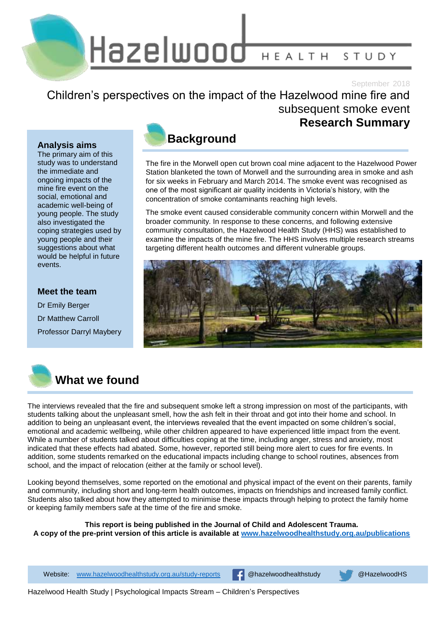Hazelwood HEALTH STUDY

September 2018

### Children's perspectives on the impact of the Hazelwood mine fire and subsequent smoke event **Research Summary**

#### **Analysis aims**

The primary aim of this study was to understand the immediate and ongoing impacts of the mine fire event on the social, emotional and academic well-being of young people. The study also investigated the coping strategies used by young people and their suggestions about what would be helpful in future events.

### **Meet the team**

Dr Emily Berger Dr Matthew Carroll Professor Darryl Maybery



The fire in the Morwell open cut brown coal mine adjacent to the Hazelwood Power Station blanketed the town of Morwell and the surrounding area in smoke and ash for six weeks in February and March 2014. The smoke event was recognised as one of the most significant air quality incidents in Victoria's history, with the concentration of smoke contaminants reaching high levels.

The smoke event caused considerable community concern within Morwell and the broader community. In response to these concerns, and following extensive community consultation, the Hazelwood Health Study (HHS) was established to examine the impacts of the mine fire. The HHS involves multiple research streams targeting different health outcomes and different vulnerable groups.





## **What we found**

The interviews revealed that the fire and subsequent smoke left a strong impression on most of the participants, with students talking about the unpleasant smell, how the ash felt in their throat and got into their home and school. In addition to being an unpleasant event, the interviews revealed that the event impacted on some children's social, emotional and academic wellbeing, while other children appeared to have experienced little impact from the event. While a number of students talked about difficulties coping at the time, including anger, stress and anxiety, most indicated that these effects had abated. Some, however, reported still being more alert to cues for fire events. In addition, some students remarked on the educational impacts including change to school routines, absences from school, and the impact of relocation (either at the family or school level).

Looking beyond themselves, some reported on the emotional and physical impact of the event on their parents, family and community, including short and long-term health outcomes, impacts on friendships and increased family conflict. Students also talked about how they attempted to minimise these impacts through helping to protect the family home or keeping family members safe at the time of the fire and smoke.

**This report is being published in the Journal of Child and Adolescent Trauma. A copy of the pre-print version of this article is available at [www.hazelwoodhealthstudy.org.au/publications](http://www.hazelwoodhealthstudy.org.au/publications)**

1 Website: [www.hazelwoodhealthstudy.org.au/study-reports](http://www.hazelwoodhealthstudy.org.au/study-reports) @hazelwoodhealthstudy @HazelwoodHS

Hazelwood Health Study | Psychological Impacts Stream – Children's Perspectives